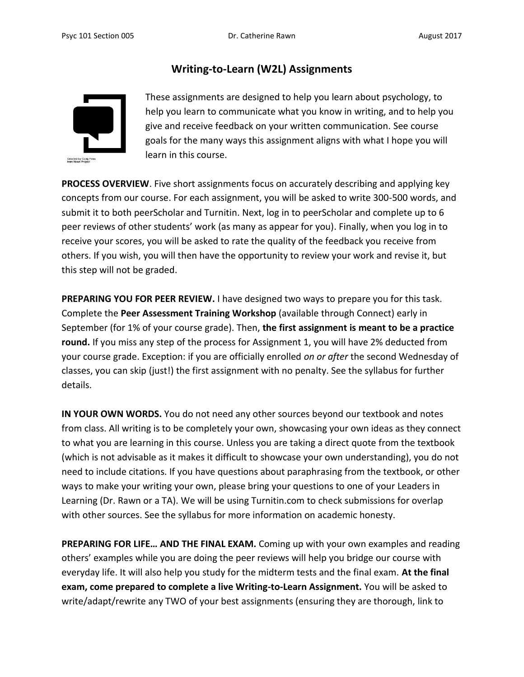# **Writing-to-Learn (W2L) Assignments**



These assignments are designed to help you learn about psychology, to help you learn to communicate what you know in writing, and to help you give and receive feedback on your written communication. See course goals for the many ways this assignment aligns with what I hope you will learn in this course.

**PROCESS OVERVIEW**. Five short assignments focus on accurately describing and applying key concepts from our course. For each assignment, you will be asked to write 300-500 words, and submit it to both peerScholar and Turnitin. Next, log in to peerScholar and complete up to 6 peer reviews of other students' work (as many as appear for you). Finally, when you log in to receive your scores, you will be asked to rate the quality of the feedback you receive from others. If you wish, you will then have the opportunity to review your work and revise it, but this step will not be graded.

**PREPARING YOU FOR PEER REVIEW.** I have designed two ways to prepare you for this task. Complete the **Peer Assessment Training Workshop** (available through Connect) early in September (for 1% of your course grade). Then, **the first assignment is meant to be a practice round.** If you miss any step of the process for Assignment 1, you will have 2% deducted from your course grade. Exception: if you are officially enrolled *on or after* the second Wednesday of classes, you can skip (just!) the first assignment with no penalty. See the syllabus for further details.

**IN YOUR OWN WORDS.** You do not need any other sources beyond our textbook and notes from class. All writing is to be completely your own, showcasing your own ideas as they connect to what you are learning in this course. Unless you are taking a direct quote from the textbook (which is not advisable as it makes it difficult to showcase your own understanding), you do not need to include citations. If you have questions about paraphrasing from the textbook, or other ways to make your writing your own, please bring your questions to one of your Leaders in Learning (Dr. Rawn or a TA). We will be using Turnitin.com to check submissions for overlap with other sources. See the syllabus for more information on academic honesty.

**PREPARING FOR LIFE… AND THE FINAL EXAM.** Coming up with your own examples and reading others' examples while you are doing the peer reviews will help you bridge our course with everyday life. It will also help you study for the midterm tests and the final exam. **At the final exam, come prepared to complete a live Writing-to-Learn Assignment.** You will be asked to write/adapt/rewrite any TWO of your best assignments (ensuring they are thorough, link to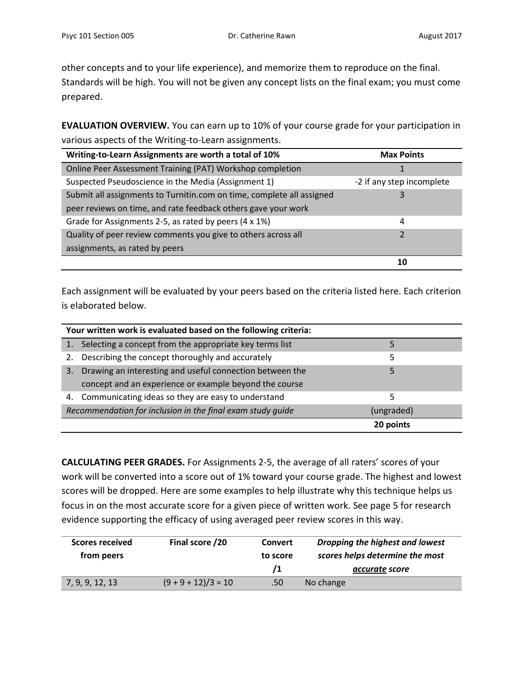other concepts and to your life experience), and memorize them to reproduce on the final. Standards will be high. You will not be given any concept lists on the final exam; you must come prepared.

**EVALUATION OVERVIEW.** You can earn up to 10% of your course grade for your participation in various aspects of the Writing-to-Learn assignments.

| Writing-to-Learn Assignments are worth a total of 10%                 | <b>Max Points</b>         |
|-----------------------------------------------------------------------|---------------------------|
| Online Peer Assessment Training (PAT) Workshop completion             |                           |
| Suspected Pseudoscience in the Media (Assignment 1)                   | -2 if any step incomplete |
| Submit all assignments to Turnitin.com on time, complete all assigned |                           |
| peer reviews on time, and rate feedback others gave your work         |                           |
| Grade for Assignments 2-5, as rated by peers (4 x 1%)                 | 4                         |
| Quality of peer review comments you give to others across all         |                           |
| assignments, as rated by peers                                        |                           |
|                                                                       |                           |

Each assignment will be evaluated by your peers based on the criteria listed here. Each criterion is elaborated below.

| Your written work is evaluated based on the following criteria: |            |
|-----------------------------------------------------------------|------------|
| Selecting a concept from the appropriate key terms list         |            |
| Describing the concept thoroughly and accurately                | 5          |
| Drawing an interesting and useful connection between the<br>3.  |            |
| concept and an experience or example beyond the course          |            |
| 4. Communicating ideas so they are easy to understand           |            |
| Recommendation for inclusion in the final exam study guide      | (ungraded) |
|                                                                 | 20 points  |

**CALCULATING PEER GRADES.** For Assignments 2-5, the average of all raters' scores of your work will be converted into a score out of 1% toward your course grade. The highest and lowest scores will be dropped. Here are some examples to help illustrate why this technique helps us focus in on the most accurate score for a given piece of written work. See page 5 for research evidence supporting the efficacy of using averaged peer review scores in this way.

| Scores received | Final score /20       | <b>Convert</b> | Dropping the highest and lowest |
|-----------------|-----------------------|----------------|---------------------------------|
| from peers      |                       | to score       | scores helps determine the most |
|                 |                       |                | accurate score                  |
| 7, 9, 9, 12, 13 | $(9 + 9 + 12)/3 = 10$ | .50            | No change                       |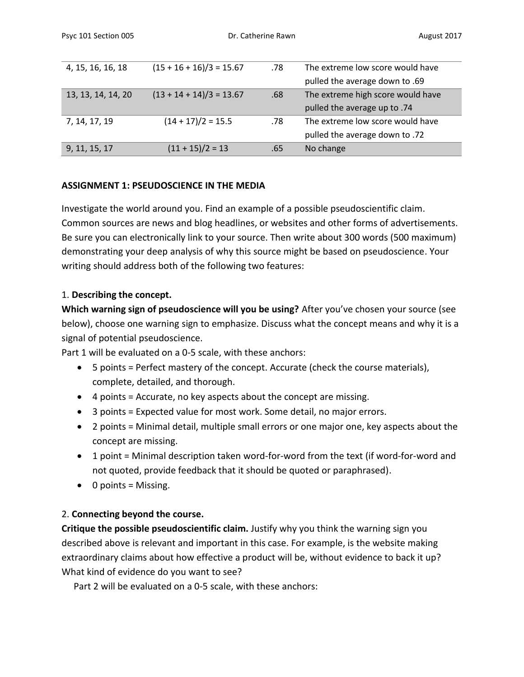| 4, 15, 16, 16, 18  | $(15 + 16 + 16)/3 = 15.67$ | .78 | The extreme low score would have  |
|--------------------|----------------------------|-----|-----------------------------------|
|                    |                            |     | pulled the average down to .69    |
| 13, 13, 14, 14, 20 | $(13 + 14 + 14)/3 = 13.67$ | .68 | The extreme high score would have |
|                    |                            |     | pulled the average up to .74      |
| 7, 14, 17, 19      | $(14 + 17)/2 = 15.5$       | .78 | The extreme low score would have  |
|                    |                            |     | pulled the average down to .72    |
| 9, 11, 15, 17      | $(11 + 15)/2 = 13$         | .65 | No change                         |

### **ASSIGNMENT 1: PSEUDOSCIENCE IN THE MEDIA**

Investigate the world around you. Find an example of a possible pseudoscientific claim. Common sources are news and blog headlines, or websites and other forms of advertisements. Be sure you can electronically link to your source. Then write about 300 words (500 maximum) demonstrating your deep analysis of why this source might be based on pseudoscience. Your writing should address both of the following two features:

#### 1. **Describing the concept.**

**Which warning sign of pseudoscience will you be using?** After you've chosen your source (see below), choose one warning sign to emphasize. Discuss what the concept means and why it is a signal of potential pseudoscience.

Part 1 will be evaluated on a 0-5 scale, with these anchors:

- 5 points = Perfect mastery of the concept. Accurate (check the course materials), complete, detailed, and thorough.
- 4 points = Accurate, no key aspects about the concept are missing.
- 3 points = Expected value for most work. Some detail, no major errors.
- 2 points = Minimal detail, multiple small errors or one major one, key aspects about the concept are missing.
- 1 point = Minimal description taken word-for-word from the text (if word-for-word and not quoted, provide feedback that it should be quoted or paraphrased).
- $\bullet$  0 points = Missing.

### 2. **Connecting beyond the course.**

**Critique the possible pseudoscientific claim.** Justify why you think the warning sign you described above is relevant and important in this case. For example, is the website making extraordinary claims about how effective a product will be, without evidence to back it up? What kind of evidence do you want to see?

Part 2 will be evaluated on a 0-5 scale, with these anchors: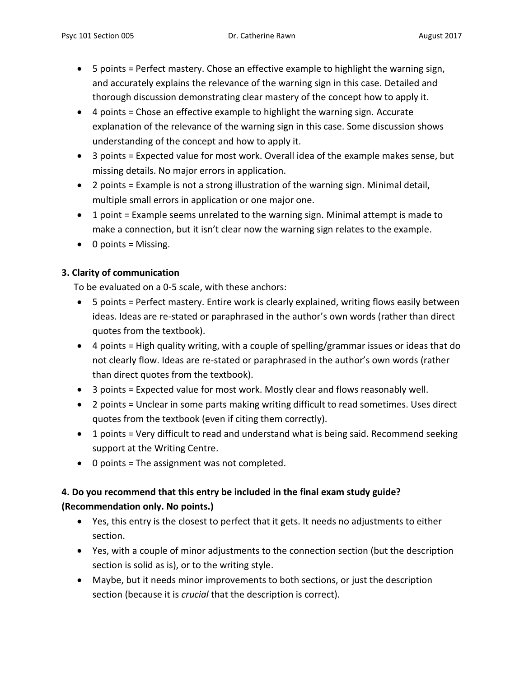- 5 points = Perfect mastery. Chose an effective example to highlight the warning sign, and accurately explains the relevance of the warning sign in this case. Detailed and thorough discussion demonstrating clear mastery of the concept how to apply it.
- 4 points = Chose an effective example to highlight the warning sign. Accurate explanation of the relevance of the warning sign in this case. Some discussion shows understanding of the concept and how to apply it.
- 3 points = Expected value for most work. Overall idea of the example makes sense, but missing details. No major errors in application.
- 2 points = Example is not a strong illustration of the warning sign. Minimal detail, multiple small errors in application or one major one.
- 1 point = Example seems unrelated to the warning sign. Minimal attempt is made to make a connection, but it isn't clear now the warning sign relates to the example.
- 0 points = Missing.

## **3. Clarity of communication**

To be evaluated on a 0-5 scale, with these anchors:

- 5 points = Perfect mastery. Entire work is clearly explained, writing flows easily between ideas. Ideas are re-stated or paraphrased in the author's own words (rather than direct quotes from the textbook).
- 4 points = High quality writing, with a couple of spelling/grammar issues or ideas that do not clearly flow. Ideas are re-stated or paraphrased in the author's own words (rather than direct quotes from the textbook).
- 3 points = Expected value for most work. Mostly clear and flows reasonably well.
- 2 points = Unclear in some parts making writing difficult to read sometimes. Uses direct quotes from the textbook (even if citing them correctly).
- 1 points = Very difficult to read and understand what is being said. Recommend seeking support at the Writing Centre.
- 0 points = The assignment was not completed.

# **4. Do you recommend that this entry be included in the final exam study guide? (Recommendation only. No points.)**

- Yes, this entry is the closest to perfect that it gets. It needs no adjustments to either section.
- Yes, with a couple of minor adjustments to the connection section (but the description section is solid as is), or to the writing style.
- Maybe, but it needs minor improvements to both sections, or just the description section (because it is *crucial* that the description is correct).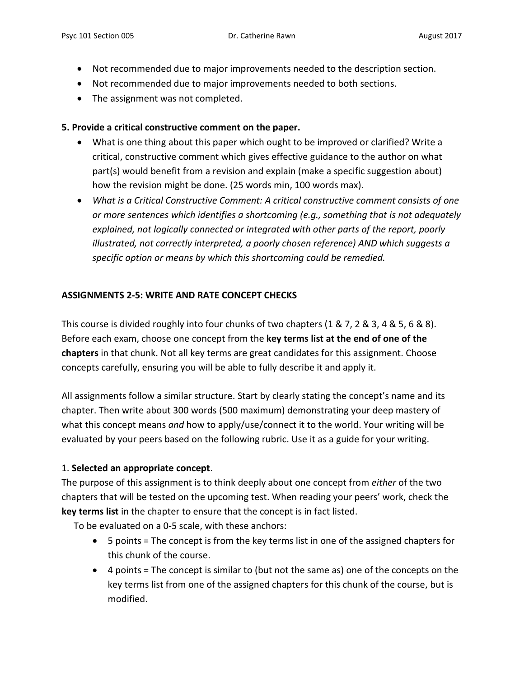- Not recommended due to major improvements needed to the description section.
- Not recommended due to major improvements needed to both sections.
- The assignment was not completed.

## **5. Provide a critical constructive comment on the paper.**

- What is one thing about this paper which ought to be improved or clarified? Write a critical, constructive comment which gives effective guidance to the author on what part(s) would benefit from a revision and explain (make a specific suggestion about) how the revision might be done. (25 words min, 100 words max).
- *What is a Critical Constructive Comment: A critical constructive comment consists of one or more sentences which identifies a shortcoming (e.g., something that is not adequately explained, not logically connected or integrated with other parts of the report, poorly illustrated, not correctly interpreted, a poorly chosen reference) AND which suggests a specific option or means by which this shortcoming could be remedied.*

## **ASSIGNMENTS 2-5: WRITE AND RATE CONCEPT CHECKS**

This course is divided roughly into four chunks of two chapters (1 & 7, 2 & 3, 4 & 5, 6 & 8). Before each exam, choose one concept from the **key terms list at the end of one of the chapters** in that chunk. Not all key terms are great candidates for this assignment. Choose concepts carefully, ensuring you will be able to fully describe it and apply it.

All assignments follow a similar structure. Start by clearly stating the concept's name and its chapter. Then write about 300 words (500 maximum) demonstrating your deep mastery of what this concept means *and* how to apply/use/connect it to the world. Your writing will be evaluated by your peers based on the following rubric. Use it as a guide for your writing.

## 1. **Selected an appropriate concept**.

The purpose of this assignment is to think deeply about one concept from *either* of the two chapters that will be tested on the upcoming test. When reading your peers' work, check the **key terms list** in the chapter to ensure that the concept is in fact listed.

To be evaluated on a 0-5 scale, with these anchors:

- 5 points = The concept is from the key terms list in one of the assigned chapters for this chunk of the course.
- 4 points = The concept is similar to (but not the same as) one of the concepts on the key terms list from one of the assigned chapters for this chunk of the course, but is modified.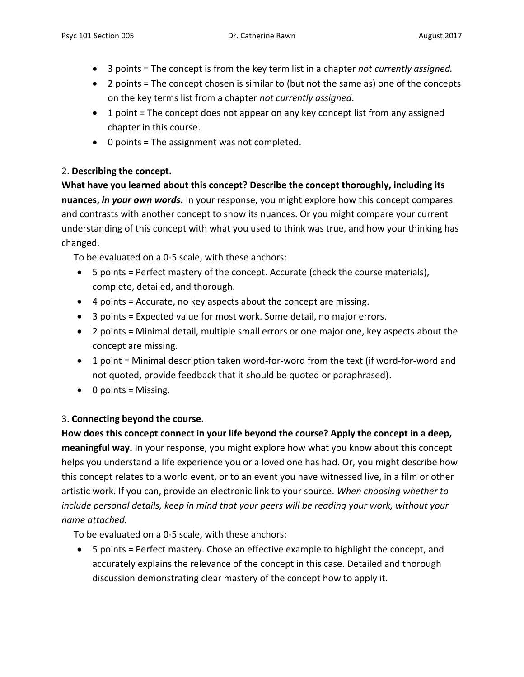- 3 points = The concept is from the key term list in a chapter *not currently assigned.*
- 2 points = The concept chosen is similar to (but not the same as) one of the concepts on the key terms list from a chapter *not currently assigned*.
- 1 point = The concept does not appear on any key concept list from any assigned chapter in this course.
- 0 points = The assignment was not completed.

## 2. **Describing the concept.**

**What have you learned about this concept? Describe the concept thoroughly, including its nuances,** *in your own words***.** In your response, you might explore how this concept compares and contrasts with another concept to show its nuances. Or you might compare your current understanding of this concept with what you used to think was true, and how your thinking has changed.

To be evaluated on a 0-5 scale, with these anchors:

- 5 points = Perfect mastery of the concept. Accurate (check the course materials), complete, detailed, and thorough.
- 4 points = Accurate, no key aspects about the concept are missing.
- 3 points = Expected value for most work. Some detail, no major errors.
- 2 points = Minimal detail, multiple small errors or one major one, key aspects about the concept are missing.
- 1 point = Minimal description taken word-for-word from the text (if word-for-word and not quoted, provide feedback that it should be quoted or paraphrased).
- $\bullet$  0 points = Missing.

## 3. **Connecting beyond the course.**

**How does this concept connect in your life beyond the course? Apply the concept in a deep, meaningful way.** In your response, you might explore how what you know about this concept helps you understand a life experience you or a loved one has had. Or, you might describe how this concept relates to a world event, or to an event you have witnessed live, in a film or other artistic work. If you can, provide an electronic link to your source. *When choosing whether to include personal details, keep in mind that your peers will be reading your work, without your name attached.*

To be evaluated on a 0-5 scale, with these anchors:

 5 points = Perfect mastery. Chose an effective example to highlight the concept, and accurately explains the relevance of the concept in this case. Detailed and thorough discussion demonstrating clear mastery of the concept how to apply it.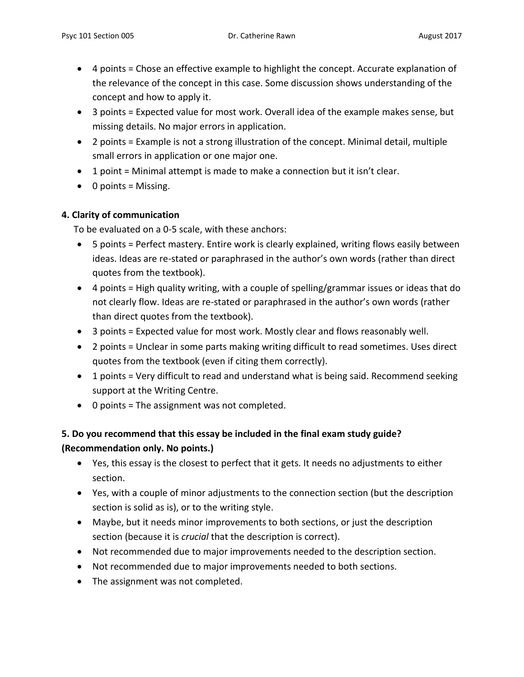- 4 points = Chose an effective example to highlight the concept. Accurate explanation of the relevance of the concept in this case. Some discussion shows understanding of the concept and how to apply it.
- 3 points = Expected value for most work. Overall idea of the example makes sense, but missing details. No major errors in application.
- 2 points = Example is not a strong illustration of the concept. Minimal detail, multiple small errors in application or one major one.
- 1 point = Minimal attempt is made to make a connection but it isn't clear.
- $\bullet$  0 points = Missing.

## **4. Clarity of communication**

To be evaluated on a 0-5 scale, with these anchors:

- 5 points = Perfect mastery. Entire work is clearly explained, writing flows easily between ideas. Ideas are re-stated or paraphrased in the author's own words (rather than direct quotes from the textbook).
- 4 points = High quality writing, with a couple of spelling/grammar issues or ideas that do not clearly flow. Ideas are re-stated or paraphrased in the author's own words (rather than direct quotes from the textbook).
- 3 points = Expected value for most work. Mostly clear and flows reasonably well.
- 2 points = Unclear in some parts making writing difficult to read sometimes. Uses direct quotes from the textbook (even if citing them correctly).
- 1 points = Very difficult to read and understand what is being said. Recommend seeking support at the Writing Centre.
- 0 points = The assignment was not completed.

# **5. Do you recommend that this essay be included in the final exam study guide? (Recommendation only. No points.)**

- Yes, this essay is the closest to perfect that it gets. It needs no adjustments to either section.
- Yes, with a couple of minor adjustments to the connection section (but the description section is solid as is), or to the writing style.
- Maybe, but it needs minor improvements to both sections, or just the description section (because it is *crucial* that the description is correct).
- Not recommended due to major improvements needed to the description section.
- Not recommended due to major improvements needed to both sections.
- The assignment was not completed.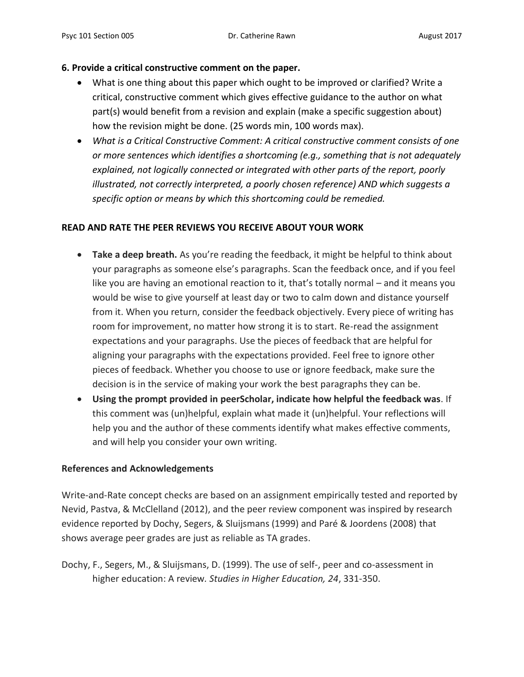### **6. Provide a critical constructive comment on the paper.**

- What is one thing about this paper which ought to be improved or clarified? Write a critical, constructive comment which gives effective guidance to the author on what part(s) would benefit from a revision and explain (make a specific suggestion about) how the revision might be done. (25 words min, 100 words max).
- *What is a Critical Constructive Comment: A critical constructive comment consists of one or more sentences which identifies a shortcoming (e.g., something that is not adequately explained, not logically connected or integrated with other parts of the report, poorly illustrated, not correctly interpreted, a poorly chosen reference) AND which suggests a specific option or means by which this shortcoming could be remedied.*

### **READ AND RATE THE PEER REVIEWS YOU RECEIVE ABOUT YOUR WORK**

- **Take a deep breath.** As you're reading the feedback, it might be helpful to think about your paragraphs as someone else's paragraphs. Scan the feedback once, and if you feel like you are having an emotional reaction to it, that's totally normal – and it means you would be wise to give yourself at least day or two to calm down and distance yourself from it. When you return, consider the feedback objectively. Every piece of writing has room for improvement, no matter how strong it is to start. Re-read the assignment expectations and your paragraphs. Use the pieces of feedback that are helpful for aligning your paragraphs with the expectations provided. Feel free to ignore other pieces of feedback. Whether you choose to use or ignore feedback, make sure the decision is in the service of making your work the best paragraphs they can be.
- **Using the prompt provided in peerScholar, indicate how helpful the feedback was**. If this comment was (un)helpful, explain what made it (un)helpful. Your reflections will help you and the author of these comments identify what makes effective comments, and will help you consider your own writing.

### **References and Acknowledgements**

Write-and-Rate concept checks are based on an assignment empirically tested and reported by Nevid, Pastva, & McClelland (2012), and the peer review component was inspired by research evidence reported by Dochy, Segers, & Sluijsmans (1999) and Paré & Joordens (2008) that shows average peer grades are just as reliable as TA grades.

Dochy, F., Segers, M., & Sluijsmans, D. (1999). The use of self-, peer and co-assessment in higher education: A review*. Studies in Higher Education, 24*, 331-350.